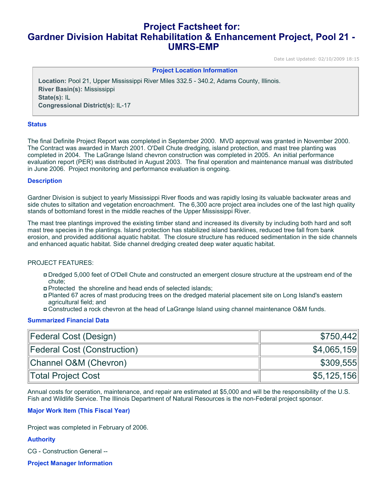# **Project Factsheet for: Gardner Division Habitat Rehabilitation & Enhancement Project, Pool 21 - UMRS-EMP**

Date Last Updated: 02/10/2009 18:15

#### **Project Location Information**

**Location:** Pool 21, Upper Mississippi River Miles 332.5 - 340.2, Adams County, Illinois. **River Basin(s):** Mississippi **State(s):** IL **Congressional District(s):** IL-17

#### **Status**

The final Definite Project Report was completed in September 2000. MVD approval was granted in November 2000. The Contract was awarded in March 2001. O'Dell Chute dredging, island protection, and mast tree planting was completed in 2004. The LaGrange Island chevron construction was completed in 2005. An initial performance evaluation report (PER) was distributed in August 2003. The final operation and maintenance manual was distributed in June 2006. Project monitoring and performance evaluation is ongoing.

#### **Description**

Gardner Division is subject to yearly Mississippi River floods and was rapidly losing its valuable backwater areas and side chutes to siltation and vegetation encroachment. The 6,300 acre project area includes one of the last high quality stands of bottomland forest in the middle reaches of the Upper Mississippi River.

The mast tree plantings improved the existing timber stand and increased its diversity by including both hard and soft mast tree species in the plantings. Island protection has stabilized island banklines, reduced tree fall from bank erosion, and provided additional aquatic habitat. The closure structure has reduced sedimentation in the side channels and enhanced aquatic habitat. Side channel dredging created deep water aquatic habitat.

## PROJECT FEATURES:

- Dredged 5,000 feet of O'Dell Chute and constructed an emergent closure structure at the upstream end of the chute;
- Protected the shoreline and head ends of selected islands;
- Planted 67 acres of mast producing trees on the dredged material placement site on Long Island's eastern agricultural field; and
- Constructed a rock chevron at the head of LaGrange Island using channel maintenance O&M funds.

#### **Summarized Financial Data**

| Federal Cost (Design)       | \$750,442   |
|-----------------------------|-------------|
| Federal Cost (Construction) | \$4,065,159 |
| Channel O&M (Chevron)       | \$309,555   |
| Total Project Cost          | \$5,125,156 |

Annual costs for operation, maintenance, and repair are estimated at \$5,000 and will be the responsibility of the U.S. Fish and Wildlife Service. The Illinois Department of Natural Resources is the non-Federal project sponsor.

## **Major Work Item (This Fiscal Year)**

Project was completed in February of 2006.

## **Authority**

CG - Construction General --

**Project Manager Information**